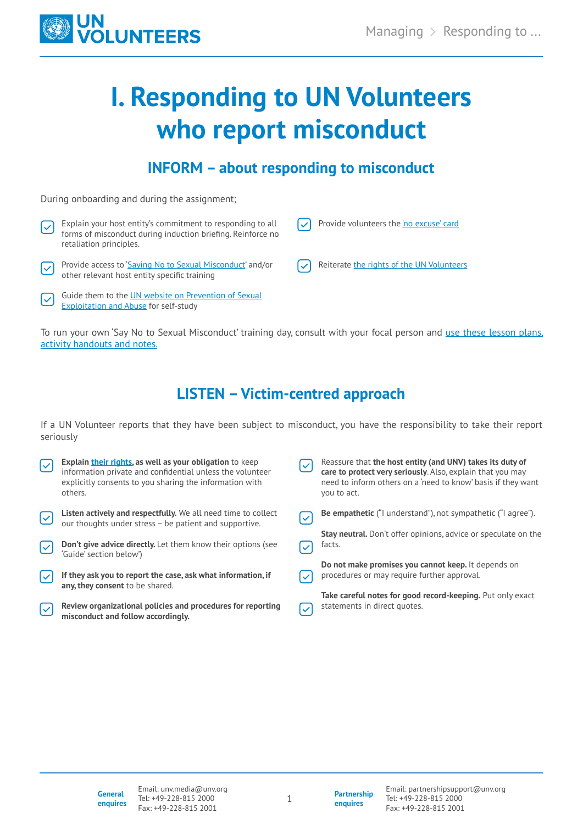

# **I. Responding to UN Volunteers who report misconduct**

### **INFORM – about responding to misconduct**

During onboarding and during the assignment;

[Exploitation and Abuse](https://www.un.org/preventing-sexual-exploitation-and-abuse/) for self-study

Explain your host entity's commitment to responding to all ے ا Provide volunteers th[e 'no excuse' card](https://peacekeeping.un.org/sites/default/files/2-no_excuse_card-4pages-en.pdf) Ⅳ forms of misconduct during induction briefing. Reinforce no retaliation principles. Provide access to ['Saying No to Sexual Misconduct'](https://interagencystandingcommittee.org/iasc-learning-package-protection-sexual-misconduct-un-partner-organizations) and/or Reiterate [the rights of the UN Volunteers](https://www.unv.org/sites/default/files/Protection%2520and%2520Prevention%2520Duty%2520of%2520Care%2520for%2520Un%2520Volunteers.pdf) V other relevant host entity specific training Guide them to the UN website on Prevention of Sexual  $\blacktriangledown$ 

To run your own 'Say No to Sexual Misconduct' training day, consult with your focal person and use these lesson plans, [activity handouts and notes.](https://interagencystandingcommittee.org/iasc-learning-package-protection-sexual-misconduct-un-partner-organizations)

# **LISTEN – Victim-centred approach**

If a UN Volunteer reports that they have been subject to misconduct, you have the responsibility to take their report seriously

| $\lfloor \checkmark$     | <b>Explain their rights, as well as your obligation to keep</b><br>information private and confidential unless the volunteer<br>explicitly consents to you sharing the information with<br>others. | Reassure that the host entity (and UNV) takes its duty of<br>care to protect very seriously. Also, explain that you may<br>need to inform others on a 'need to know' basis if they want<br>you to act. |
|--------------------------|----------------------------------------------------------------------------------------------------------------------------------------------------------------------------------------------------|--------------------------------------------------------------------------------------------------------------------------------------------------------------------------------------------------------|
| $\lvert\mathbf{v}\rvert$ | <b>Listen actively and respectfully.</b> We all need time to collect<br>our thoughts under stress - be patient and supportive.                                                                     | <b>Be empathetic</b> ("I understand"), not sympathetic ("I agree").                                                                                                                                    |
| Ⅳ                        | <b>Don't give advice directly.</b> Let them know their options (see                                                                                                                                | <b>Stay neutral.</b> Don't offer opinions, advice or speculate on the<br>facts.                                                                                                                        |
|                          | 'Guide' section below')                                                                                                                                                                            |                                                                                                                                                                                                        |
|                          | If they ask you to report the case, ask what information, if<br>any, they consent to be shared.                                                                                                    | Do not make promises you cannot keep. It depends on<br>procedures or may require further approval.                                                                                                     |
| $\mathsf{I}\mathsf{V}$   | Review organizational policies and procedures for reporting<br>misconduct and follow accordingly.                                                                                                  | Take careful notes for good record-keeping. Put only exact<br>statements in direct quotes.                                                                                                             |

**Partnership enquires**

1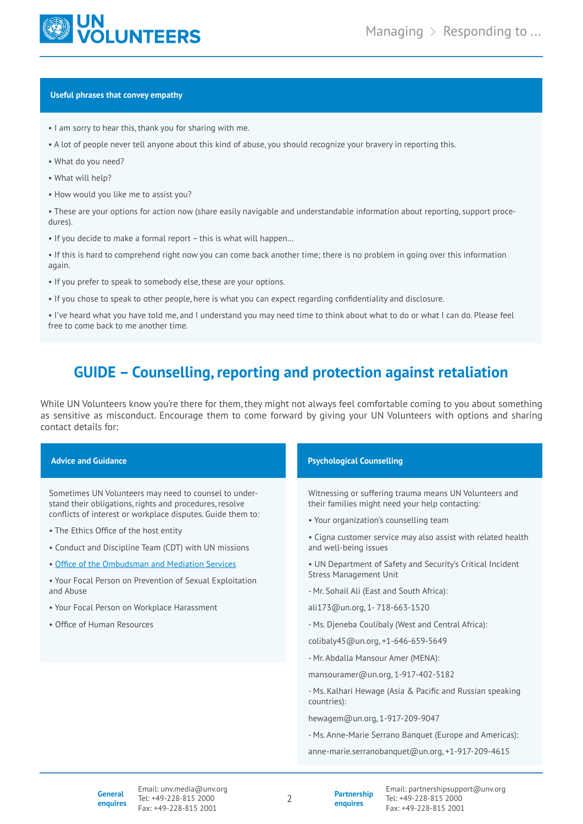

#### **Useful phrases that convey empathy**

- I am sorry to hear this, thank you for sharing with me.
- A lot of people never tell anyone about this kind of abuse, you should recognize your bravery in reporting this.
- What do you need?
- What will help?
- How would you like me to assist you?

• These are your options for action now (share easily navigable and understandable information about reporting, support procedures).

• If you decide to make a formal report – this is what will happen…

• If this is hard to comprehend right now you can come back another time; there is no problem in going over this information again.

- If you prefer to speak to somebody else, these are your options.
- If you chose to speak to other people, here is what you can expect regarding confidentiality and disclosure.

• I've heard what you have told me, and I understand you may need time to think about what to do or what I can do. Please feel free to come back to me another time.

## **GUIDE – Counselling, reporting and protection against retaliation**

While UN Volunteers know you're there for them, they might not always feel comfortable coming to you about something as sensitive as misconduct. Encourage them to come forward by giving your UN Volunteers with options and sharing contact details for:

| <b>Advice and Guidance</b>                                                                                                                                                                                                                                                                                                                                                                                                                                                                   | <b>Psychological Counselling</b>                                                                                                                                                                                                                                                                                                                                                                                                                                                                                                                            |  |
|----------------------------------------------------------------------------------------------------------------------------------------------------------------------------------------------------------------------------------------------------------------------------------------------------------------------------------------------------------------------------------------------------------------------------------------------------------------------------------------------|-------------------------------------------------------------------------------------------------------------------------------------------------------------------------------------------------------------------------------------------------------------------------------------------------------------------------------------------------------------------------------------------------------------------------------------------------------------------------------------------------------------------------------------------------------------|--|
| Sometimes UN Volunteers may need to counsel to under-<br>stand their obligations, rights and procedures, resolve<br>conflicts of interest or workplace disputes. Guide them to:<br>• The Ethics Office of the host entity<br>• Conduct and Discipline Team (CDT) with UN missions<br>. Office of the Ombudsman and Mediation Services<br>• Your Focal Person on Prevention of Sexual Exploitation<br>and Abuse<br>• Your Focal Person on Workplace Harassment<br>• Office of Human Resources | Witnessing or suffering trauma means UN Volunteers and<br>their families might need your help contacting:<br>• Your organization's counselling team<br>• Cigna customer service may also assist with related health<br>and well-being issues<br>• UN Department of Safety and Security's Critical Incident<br><b>Stress Management Unit</b><br>- Mr. Sohail Ali (East and South Africa):<br>ali173@un.org, 1-718-663-1520<br>- Ms. Djeneba Coulibaly (West and Central Africa):<br>colibaly45@un.org, +1-646-659-5649<br>- Mr. Abdalla Mansour Amer (MENA): |  |
|                                                                                                                                                                                                                                                                                                                                                                                                                                                                                              | mansouramer@un.org, 1-917-402-5182<br>- Ms. Kalhari Hewage (Asia & Pacific and Russian speaking<br>countries):<br>hewagem@un.org, 1-917-209-9047<br>- Ms. Anne-Marie Serrano Banguet (Europe and Americas):<br>anne-marie.serranobanquet@un.org, +1-917-209-4615                                                                                                                                                                                                                                                                                            |  |

2